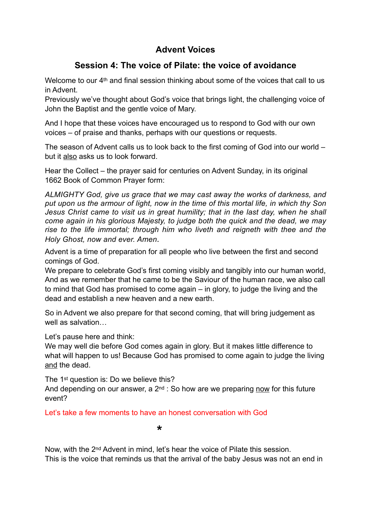## **Advent Voices**

## **Session 4: The voice of Pilate: the voice of avoidance**

Welcome to our 4<sup>th</sup> and final session thinking about some of the voices that call to us in Advent.

Previously we've thought about God's voice that brings light, the challenging voice of John the Baptist and the gentle voice of Mary.

And I hope that these voices have encouraged us to respond to God with our own voices – of praise and thanks, perhaps with our questions or requests.

The season of Advent calls us to look back to the first coming of God into our world – but it also asks us to look forward.

Hear the Collect – the prayer said for centuries on Advent Sunday, in its original 1662 Book of Common Prayer form:

*ALMIGHTY God, give us grace that we may cast away the works of darkness, and put upon us the armour of light, now in the time of this mortal life, in which thy Son Jesus Christ came to visit us in great humility; that in the last day, when he shall come again in his glorious Majesty, to judge both the quick and the dead, we may rise to the life immortal; through him who liveth and reigneth with thee and the Holy Ghost, now and ever. Amen*.

Advent is a time of preparation for all people who live between the first and second comings of God.

We prepare to celebrate God's first coming visibly and tangibly into our human world, And as we remember that he came to be the Saviour of the human race, we also call to mind that God has promised to come again – in glory, to judge the living and the dead and establish a new heaven and a new earth.

So in Advent we also prepare for that second coming, that will bring judgement as well as salvation

Let's pause here and think:

We may well die before God comes again in glory. But it makes little difference to what will happen to us! Because God has promised to come again to judge the living and the dead.

The 1<sup>st</sup> question is: Do we believe this?

And depending on our answer, a  $2^{nd}$  : So how are we preparing now for this future event?

Let's take a few moments to have an honest conversation with God

**\***

Now, with the 2nd Advent in mind, let's hear the voice of Pilate this session. This is the voice that reminds us that the arrival of the baby Jesus was not an end in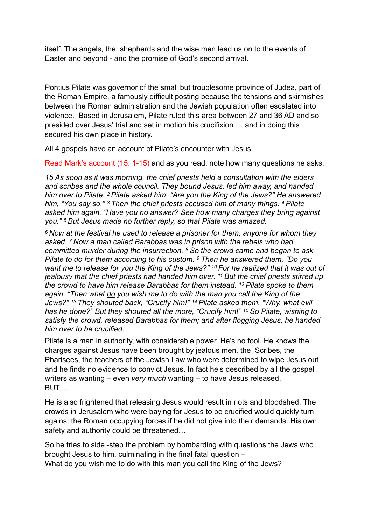itself. The angels, the shepherds and the wise men lead us on to the events of Easter and beyond - and the promise of God's second arrival.

Pontius Pilate was governor of the small but troublesome province of Judea, part of the Roman Empire, a famously difficult posting because the tensions and skirmishes between the Roman administration and the Jewish population often escalated into violence. Based in Jerusalem, Pilate ruled this area between 27 and 36 AD and so presided over Jesus' trial and set in motion his crucifixion … and in doing this secured his own place in history.

All 4 gospels have an account of Pilate's encounter with Jesus.

Read Mark's account (15: 1-15) and as you read, note how many questions he asks.

*15 As soon as it was morning, the chief priests held a consultation with the elders and scribes and the whole council. They bound Jesus, led him away, and handed him over to Pilate. 2 Pilate asked him, "Are you the King of the Jews?" He answered him, "You say so." 3 Then the chief priests accused him of many things. 4 Pilate asked him again, "Have you no answer? See how many charges they bring against you." 5 But Jesus made no further reply, so that Pilate was amazed.*

*6 Now at the festival he used to release a prisoner for them, anyone for whom they asked. 7 Now a man called Barabbas was in prison with the rebels who had committed murder during the insurrection. 8 So the crowd came and began to ask Pilate to do for them according to his custom. 9 Then he answered them, "Do you want me to release for you the King of the Jews?" 10 For he realized that it was out of jealousy that the chief priests had handed him over. 11 But the chief priests stirred up the crowd to have him release Barabbas for them instead. 12 Pilate spoke to them again, "Then what do you wish me to do with the man you call the King of the Jews?" 13 They shouted back, "Crucify him!" 14 Pilate asked them, "Why, what evil has he done?" But they shouted all the more, "Crucify him!" 15 So Pilate, wishing to satisfy the crowd, released Barabbas for them; and after flogging Jesus, he handed him over to be crucified.*

Pilate is a man in authority, with considerable power. He's no fool. He knows the charges against Jesus have been brought by jealous men, the Scribes, the Pharisees, the teachers of the Jewish Law who were determined to wipe Jesus out and he finds no evidence to convict Jesus. In fact he's described by all the gospel writers as wanting – even *very much* wanting – to have Jesus released. **BUT** 

He is also frightened that releasing Jesus would result in riots and bloodshed. The crowds in Jerusalem who were baying for Jesus to be crucified would quickly turn against the Roman occupying forces if he did not give into their demands. His own safety and authority could be threatened…

So he tries to side -step the problem by bombarding with questions the Jews who brought Jesus to him, culminating in the final fatal question – What do you wish me to do with this man you call the King of the Jews?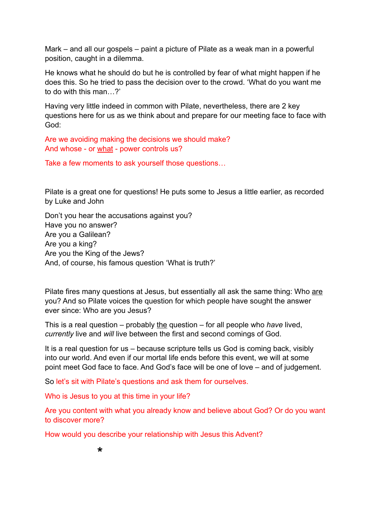Mark – and all our gospels – paint a picture of Pilate as a weak man in a powerful position, caught in a dilemma.

He knows what he should do but he is controlled by fear of what might happen if he does this. So he tried to pass the decision over to the crowd. 'What do you want me to do with this man…?'

Having very little indeed in common with Pilate, nevertheless, there are 2 key questions here for us as we think about and prepare for our meeting face to face with God:

Are we avoiding making the decisions we should make? And whose - or what - power controls us?

Take a few moments to ask yourself those questions…

Pilate is a great one for questions! He puts some to Jesus a little earlier, as recorded by Luke and John

Don't you hear the accusations against you? Have you no answer? Are you a Galilean? Are you a king? Are you the King of the Jews? And, of course, his famous question 'What is truth?'

Pilate fires many questions at Jesus, but essentially all ask the same thing: Who are you? And so Pilate voices the question for which people have sought the answer ever since: Who are you Jesus?

This is a real question – probably the question – for all people who *have* lived, *currently* live and *will* live between the first and second comings of God.

It is a real question for us – because scripture tells us God is coming back, visibly into our world. And even if our mortal life ends before this event, we will at some point meet God face to face. And God's face will be one of love – and of judgement.

So let's sit with Pilate's questions and ask them for ourselves.

Who is Jesus to you at this time in your life?

Are you content with what you already know and believe about God? Or do you want to discover more?

How would you describe your relationship with Jesus this Advent?

 **\***